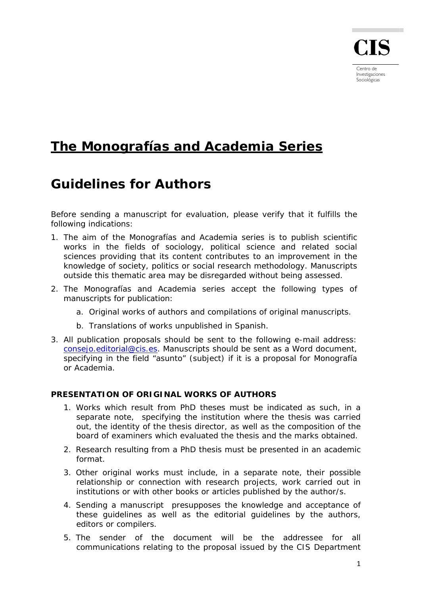

Centro de Investigaciones Sociológicas

## **The Monografías and Academia Series**

## **Guidelines for Authors**

Before sending a manuscript for evaluation, please verify that it fulfills the following indications:

- 1. The aim of the Monografías and Academia series is to publish scientific works in the fields of sociology, political science and related social sciences providing that its content contributes to an improvement in the knowledge of society, politics or social research methodology. Manuscripts outside this thematic area may be disregarded without being assessed.
- 2. The Monografías and Academia series accept the following types of manuscripts for publication:
	- a. Original works of authors and compilations of original manuscripts.
	- b. Translations of works unpublished in Spanish.
- 3. All publication proposals should be sent to the following e-mail address: [consejo.editorial@cis.es.](mailto:consejo.editorial@cis.es) Manuscripts should be sent as a Word document, specifying in the field "asunto" (subject) if it is a proposal for Monografía or Academia.

## **PRESENTATION OF ORIGINAL WORKS OF AUTHORS**

- 1. Works which result from PhD theses must be indicated as such, in a separate note, specifying the institution where the thesis was carried out, the identity of the thesis director, as well as the composition of the board of examiners which evaluated the thesis and the marks obtained.
- 2. Research resulting from a PhD thesis must be presented in an academic format.
- 3. Other original works must include, in a separate note, their possible relationship or connection with research projects, work carried out in institutions or with other books or articles published by the author/s.
- 4. Sending a manuscript presupposes the knowledge and acceptance of these guidelines as well as the editorial guidelines by the authors, editors or compilers.
- 5. The sender of the document will be the addressee for all communications relating to the proposal issued by the CIS Department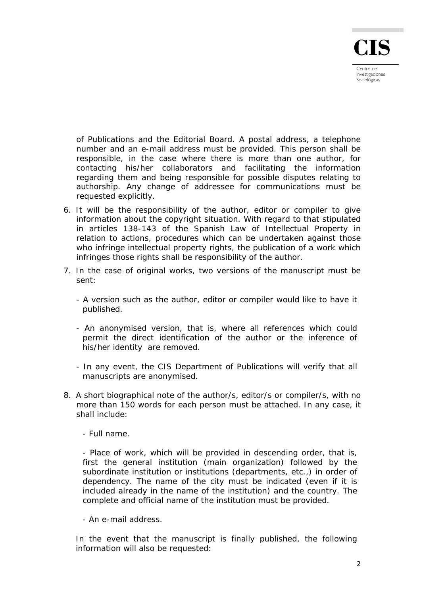

of Publications and the Editorial Board. A postal address, a telephone number and an e-mail address must be provided. This person shall be responsible, in the case where there is more than one author, for contacting his/her collaborators and facilitating the information regarding them and being responsible for possible disputes relating to authorship. Any change of addressee for communications must be requested explicitly.

- 6. It will be the responsibility of the author, editor or compiler to give information about the copyright situation. With regard to that stipulated in articles 138-143 of the Spanish Law of Intellectual Property in relation to actions, procedures which can be undertaken against those who infringe intellectual property rights, the publication of a work which infringes those rights shall be responsibility of the author.
- 7. In the case of original works, two versions of the manuscript must be sent:
	- A version such as the author, editor or compiler would like to have it published.
	- An anonymised version, that is, where all references which could permit the direct identification of the author or the inference of his/her identity are removed.
	- In any event, the CIS Department of Publications will verify that all manuscripts are anonymised.
- 8. A short biographical note of the author/s, editor/s or compiler/s, with no more than 150 words for each person must be attached. In any case, it shall include:
	- Full name.

 - Place of work, which will be provided in descending order, that is, first the general institution (main organization) followed by the subordinate institution or institutions (departments, etc.,) in order of dependency. The name of the city must be indicated (even if it is included already in the name of the institution) and the country. The complete and official name of the institution must be provided.

- An e-mail address.

In the event that the manuscript is finally published, the following information will also be requested: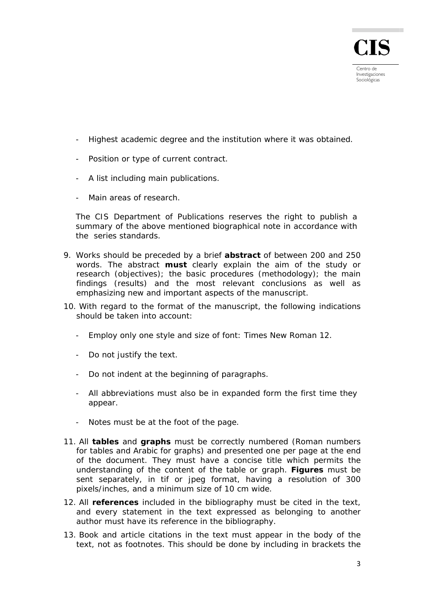Investigaciones Sociológicas

- Highest academic degree and the institution where it was obtained.
- Position or type of current contract.
- A list including main publications.
- Main areas of research.

The CIS Department of Publications reserves the right to publish a summary of the above mentioned biographical note in accordance with the series standards.

- 9. Works should be preceded by a brief **abstract** of between 200 and 250 words. The abstract **must** clearly explain the aim of the study or research (objectives); the basic procedures (methodology); the main findings (results) and the most relevant conclusions as well as emphasizing new and important aspects of the manuscript.
- 10. With regard to the format of the manuscript, the following indications should be taken into account:
	- Employ only one style and size of font: Times New Roman 12.
	- Do not justify the text.
	- Do not indent at the beginning of paragraphs.
	- All abbreviations must also be in expanded form the first time they appear.
	- Notes must be at the foot of the page.
- 11. All **tables** and **graphs** must be correctly numbered (Roman numbers for tables and Arabic for graphs) and presented one per page at the end of the document. They must have a concise title which permits the understanding of the content of the table or graph. **Figures** must be sent separately, in tif or jpeg format, having a resolution of 300 pixels/inches, and a minimum size of 10 cm wide.
- 12. All **references** included in the bibliography must be cited in the text, and every statement in the text expressed as belonging to another author must have its reference in the bibliography.
- 13. Book and article citations in the text must appear in the body of the text, not as footnotes. This should be done by including in brackets the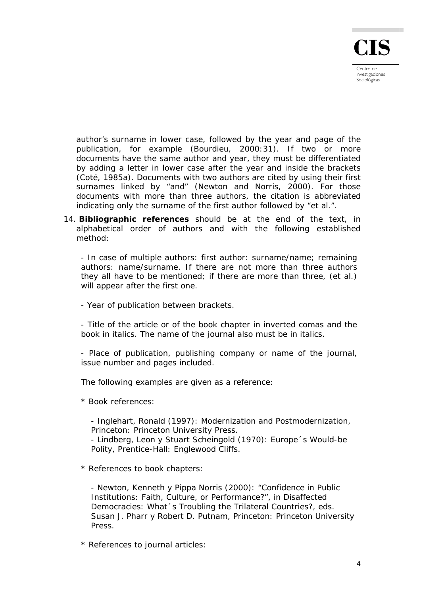

author's surname in lower case, followed by the year and page of the publication, for example (Bourdieu, 2000:31). If two or more documents have the same author and year, they must be differentiated by adding a letter in lower case after the year and inside the brackets (Coté, 1985a). Documents with two authors are cited by using their first surnames linked by "and" (Newton and Norris, 2000). For those documents with more than three authors, the citation is abbreviated indicating only the surname of the first author followed by "et al.".

14. **Bibliographic references** should be at the end of the text, in alphabetical order of authors and with the following established method:

- In case of multiple authors: first author: surname/name; remaining authors: name/surname. If there are not more than three authors they all have to be mentioned; if there are more than three, (et al.) will appear after the first one.

- Year of publication between brackets.

- Title of the article or of the book chapter in inverted comas and the book in italics. The name of the journal also must be in italics.

- Place of publication, publishing company or name of the journal, issue number and pages included.

The following examples are given as a reference:

\* Book references:

- Inglehart, Ronald (1997): *Modernization and Postmodernization*, Princeton: Princeton University Press.

- Lindberg, Leon y Stuart Scheingold (1970): *Europe´s Would-be Polity*, Prentice-Hall: Englewood Cliffs.

\* References to book chapters:

- Newton, Kenneth y Pippa Norris (2000): "Confidence in Public Institutions: Faith, Culture, or Performance?", in *Disaffected Democracies: What´s Troubling the Trilateral Countries?*, eds. Susan J. Pharr y Robert D. Putnam, Princeton: Princeton University Press.

\* References to journal articles: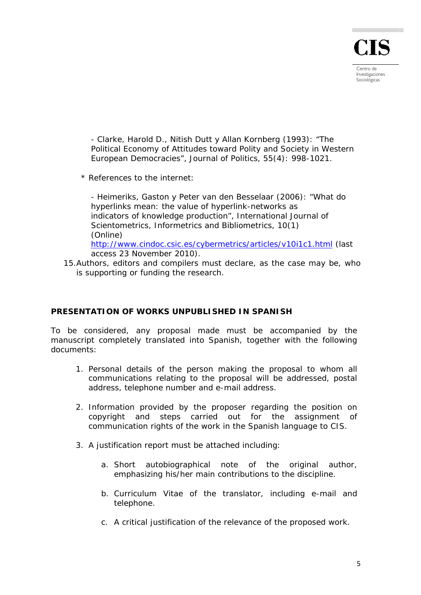- Clarke, Harold D., Nitish Dutt y Allan Kornberg (1993): "The Political Economy of Attitudes toward Polity and Society in Western European Democracies", *Journal of Politics*, 55(4): 998-1021.

\* References to the internet:

- Heimeriks, Gaston y Peter van den Besselaar (2006): "What do hyperlinks mean: the value of hyperlink-networks as indicators of knowledge production", *International Journal of Scientometrics, Informetrics and Bibliometrics*, 10(1) (Online) <http://www.cindoc.csic.es/cybermetrics/articles/v10i1c1.html>(last

access 23 November 2010).

15.Authors, editors and compilers must declare, as the case may be, who is supporting or funding the research.

## **PRESENTATION OF WORKS UNPUBLISHED IN SPANISH**

To be considered, any proposal made must be accompanied by the manuscript completely translated into Spanish, together with the following documents:

- 1. Personal details of the person making the proposal to whom all communications relating to the proposal will be addressed, postal address, telephone number and e-mail address.
- 2. Information provided by the proposer regarding the position on copyright and steps carried out for the assignment of communication rights of the work in the Spanish language to CIS.
- 3. A justification report must be attached including:
	- a. Short autobiographical note of the original author, emphasizing his/her main contributions to the discipline.
	- b. Curriculum Vitae of the translator, including e-mail and telephone.
	- c. A critical justification of the relevance of the proposed work.